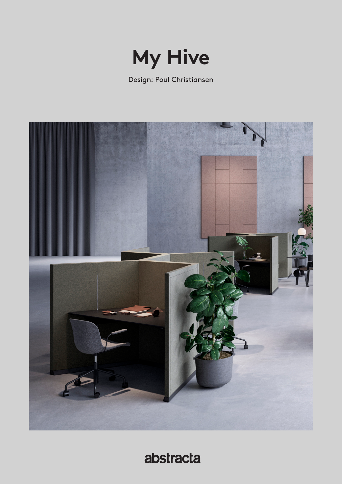

Design: Poul Christiansen



abstracta